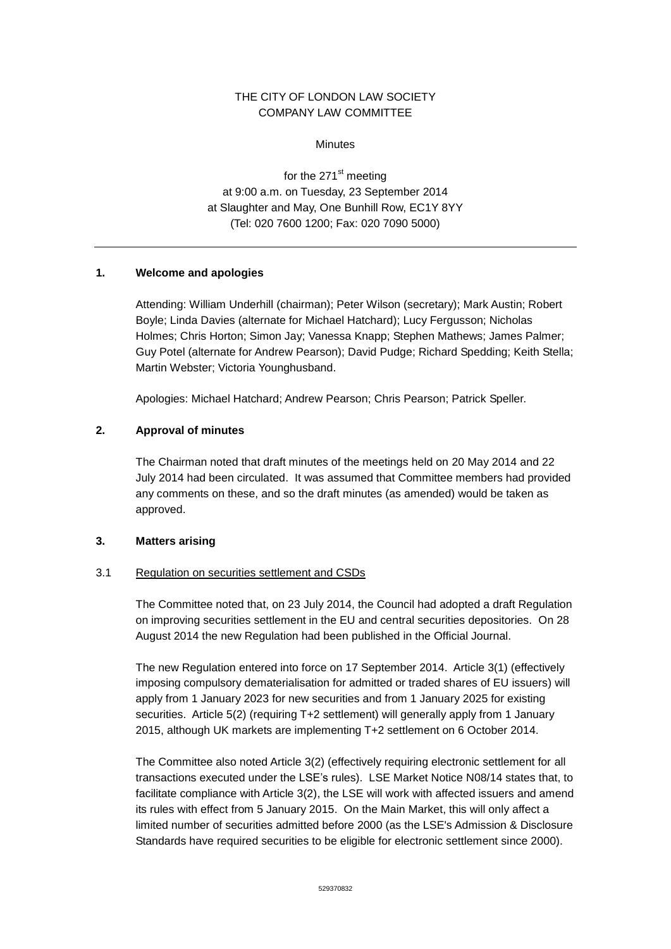# THE CITY OF LONDON LAW SOCIETY COMPANY LAW COMMITTEE

**Minutes** 

for the 271<sup>st</sup> meeting at 9:00 a.m. on Tuesday, 23 September 2014 at Slaughter and May, One Bunhill Row, EC1Y 8YY (Tel: 020 7600 1200; Fax: 020 7090 5000)

# **1. Welcome and apologies**

Attending: William Underhill (chairman); Peter Wilson (secretary); Mark Austin; Robert Boyle; Linda Davies (alternate for Michael Hatchard); Lucy Fergusson; Nicholas Holmes; Chris Horton; Simon Jay; Vanessa Knapp; Stephen Mathews; James Palmer; Guy Potel (alternate for Andrew Pearson); David Pudge; Richard Spedding; Keith Stella; Martin Webster; Victoria Younghusband.

Apologies: Michael Hatchard; Andrew Pearson; Chris Pearson; Patrick Speller.

# **2. Approval of minutes**

The Chairman noted that draft minutes of the meetings held on 20 May 2014 and 22 July 2014 had been circulated. It was assumed that Committee members had provided any comments on these, and so the draft minutes (as amended) would be taken as approved.

#### **3. Matters arising**

#### 3.1 Regulation on securities settlement and CSDs

The Committee noted that, on 23 July 2014, the Council had adopted a draft Regulation on improving securities settlement in the EU and central securities depositories. On 28 August 2014 the new Regulation had been published in the Official Journal.

The new Regulation entered into force on 17 September 2014. Article 3(1) (effectively imposing compulsory dematerialisation for admitted or traded shares of EU issuers) will apply from 1 January 2023 for new securities and from 1 January 2025 for existing securities. Article 5(2) (requiring T+2 settlement) will generally apply from 1 January 2015, although UK markets are implementing T+2 settlement on 6 October 2014.

The Committee also noted Article 3(2) (effectively requiring electronic settlement for all transactions executed under the LSE's rules). LSE Market Notice N08/14 states that, to facilitate compliance with Article 3(2), the LSE will work with affected issuers and amend its rules with effect from 5 January 2015. On the Main Market, this will only affect a limited number of securities admitted before 2000 (as the LSE's Admission & Disclosure Standards have required securities to be eligible for electronic settlement since 2000).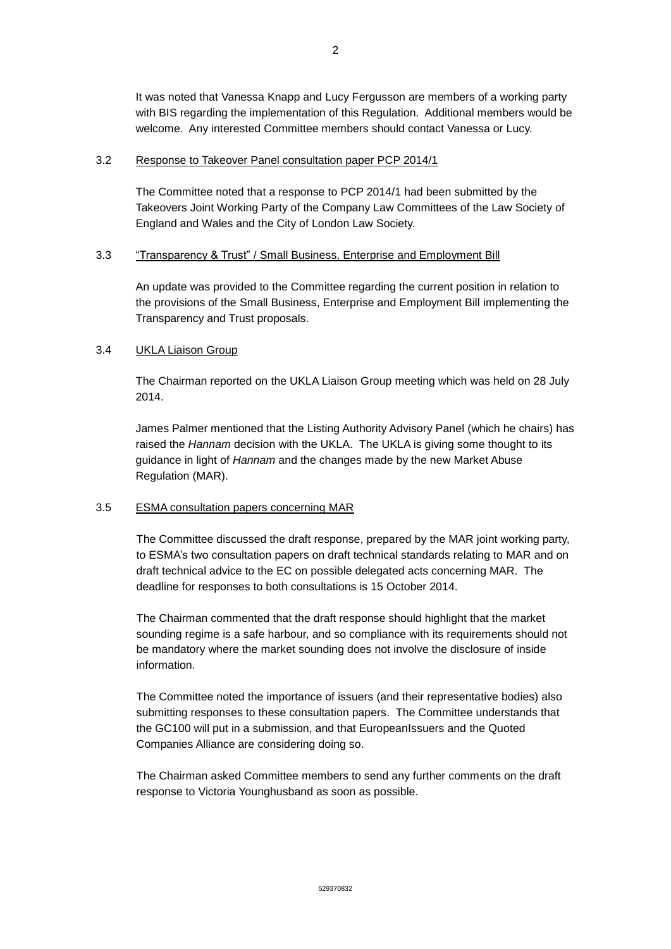It was noted that Vanessa Knapp and Lucy Fergusson are members of a working party with BIS regarding the implementation of this Regulation. Additional members would be welcome. Any interested Committee members should contact Vanessa or Lucy.

### 3.2 Response to Takeover Panel consultation paper PCP 2014/1

The Committee noted that a response to PCP 2014/1 had been submitted by the Takeovers Joint Working Party of the Company Law Committees of the Law Society of England and Wales and the City of London Law Society.

# 3.3 "Transparency & Trust" / Small Business, Enterprise and Employment Bill

An update was provided to the Committee regarding the current position in relation to the provisions of the Small Business, Enterprise and Employment Bill implementing the Transparency and Trust proposals.

# 3.4 **UKLA Liaison Group**

The Chairman reported on the UKLA Liaison Group meeting which was held on 28 July 2014.

James Palmer mentioned that the Listing Authority Advisory Panel (which he chairs) has raised the *Hannam* decision with the UKLA. The UKLA is giving some thought to its guidance in light of *Hannam* and the changes made by the new Market Abuse Regulation (MAR).

# 3.5 ESMA consultation papers concerning MAR

The Committee discussed the draft response, prepared by the MAR joint working party, to ESMA's two consultation papers on draft technical standards relating to MAR and on draft technical advice to the EC on possible delegated acts concerning MAR. The deadline for responses to both consultations is 15 October 2014.

The Chairman commented that the draft response should highlight that the market sounding regime is a safe harbour, and so compliance with its requirements should not be mandatory where the market sounding does not involve the disclosure of inside information.

The Committee noted the importance of issuers (and their representative bodies) also submitting responses to these consultation papers. The Committee understands that the GC100 will put in a submission, and that EuropeanIssuers and the Quoted Companies Alliance are considering doing so.

The Chairman asked Committee members to send any further comments on the draft response to Victoria Younghusband as soon as possible.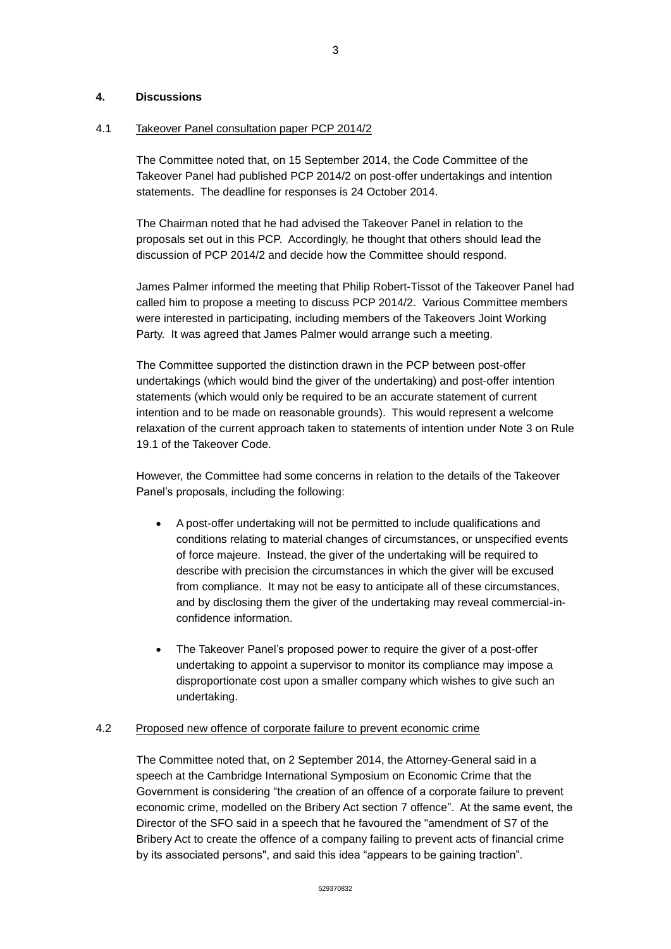### **4. Discussions**

#### 4.1 Takeover Panel consultation paper PCP 2014/2

The Committee noted that, on 15 September 2014, the Code Committee of the Takeover Panel had published PCP 2014/2 on post-offer undertakings and intention statements. The deadline for responses is 24 October 2014.

The Chairman noted that he had advised the Takeover Panel in relation to the proposals set out in this PCP. Accordingly, he thought that others should lead the discussion of PCP 2014/2 and decide how the Committee should respond.

James Palmer informed the meeting that Philip Robert-Tissot of the Takeover Panel had called him to propose a meeting to discuss PCP 2014/2. Various Committee members were interested in participating, including members of the Takeovers Joint Working Party. It was agreed that James Palmer would arrange such a meeting.

The Committee supported the distinction drawn in the PCP between post-offer undertakings (which would bind the giver of the undertaking) and post-offer intention statements (which would only be required to be an accurate statement of current intention and to be made on reasonable grounds). This would represent a welcome relaxation of the current approach taken to statements of intention under Note 3 on Rule 19.1 of the Takeover Code.

However, the Committee had some concerns in relation to the details of the Takeover Panel's proposals, including the following:

- A post-offer undertaking will not be permitted to include qualifications and conditions relating to material changes of circumstances, or unspecified events of force majeure. Instead, the giver of the undertaking will be required to describe with precision the circumstances in which the giver will be excused from compliance. It may not be easy to anticipate all of these circumstances, and by disclosing them the giver of the undertaking may reveal commercial-inconfidence information.
- The Takeover Panel's proposed power to require the giver of a post-offer undertaking to appoint a supervisor to monitor its compliance may impose a disproportionate cost upon a smaller company which wishes to give such an undertaking.

# 4.2 Proposed new offence of corporate failure to prevent economic crime

The Committee noted that, on 2 September 2014, the Attorney-General said in a speech at the Cambridge International Symposium on Economic Crime that the Government is considering "the creation of an offence of a corporate failure to prevent economic crime, modelled on the Bribery Act section 7 offence". At the same event, the Director of the SFO said in a speech that he favoured the "amendment of S7 of the Bribery Act to create the offence of a company failing to prevent acts of financial crime by its associated persons", and said this idea "appears to be gaining traction".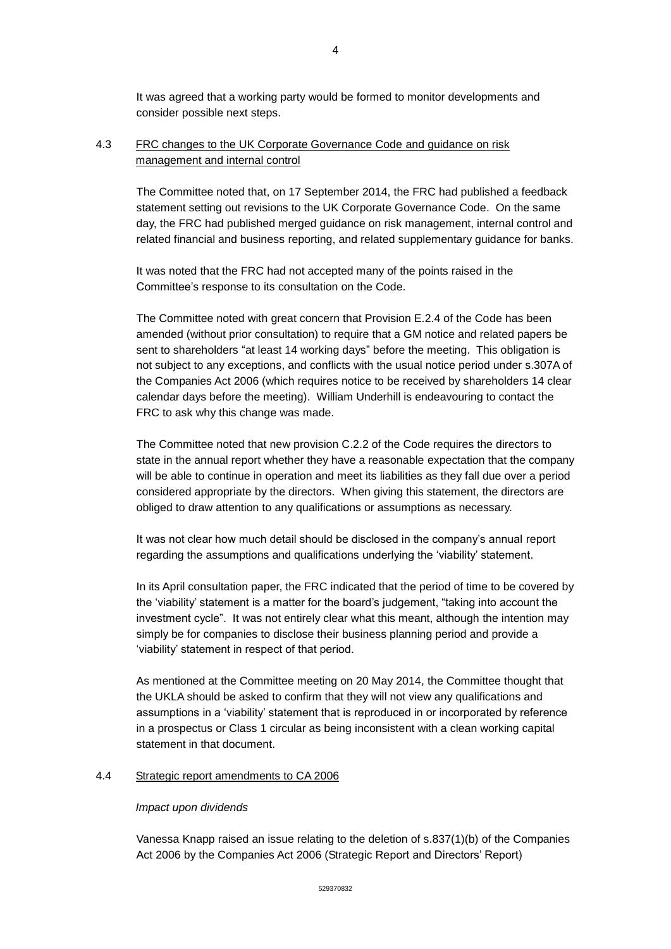It was agreed that a working party would be formed to monitor developments and consider possible next steps.

# 4.3 FRC changes to the UK Corporate Governance Code and guidance on risk management and internal control

The Committee noted that, on 17 September 2014, the FRC had published a feedback statement setting out revisions to the UK Corporate Governance Code. On the same day, the FRC had published merged guidance on risk management, internal control and related financial and business reporting, and related supplementary guidance for banks.

It was noted that the FRC had not accepted many of the points raised in the Committee's response to its consultation on the Code.

The Committee noted with great concern that Provision E.2.4 of the Code has been amended (without prior consultation) to require that a GM notice and related papers be sent to shareholders "at least 14 working days" before the meeting. This obligation is not subject to any exceptions, and conflicts with the usual notice period under s.307A of the Companies Act 2006 (which requires notice to be received by shareholders 14 clear calendar days before the meeting). William Underhill is endeavouring to contact the FRC to ask why this change was made.

The Committee noted that new provision C.2.2 of the Code requires the directors to state in the annual report whether they have a reasonable expectation that the company will be able to continue in operation and meet its liabilities as they fall due over a period considered appropriate by the directors. When giving this statement, the directors are obliged to draw attention to any qualifications or assumptions as necessary.

It was not clear how much detail should be disclosed in the company's annual report regarding the assumptions and qualifications underlying the 'viability' statement.

In its April consultation paper, the FRC indicated that the period of time to be covered by the 'viability' statement is a matter for the board's judgement, "taking into account the investment cycle". It was not entirely clear what this meant, although the intention may simply be for companies to disclose their business planning period and provide a 'viability' statement in respect of that period.

As mentioned at the Committee meeting on 20 May 2014, the Committee thought that the UKLA should be asked to confirm that they will not view any qualifications and assumptions in a 'viability' statement that is reproduced in or incorporated by reference in a prospectus or Class 1 circular as being inconsistent with a clean working capital statement in that document.

#### 4.4 Strategic report amendments to CA 2006

#### *Impact upon dividends*

Vanessa Knapp raised an issue relating to the deletion of s.837(1)(b) of the Companies Act 2006 by the Companies Act 2006 (Strategic Report and Directors' Report)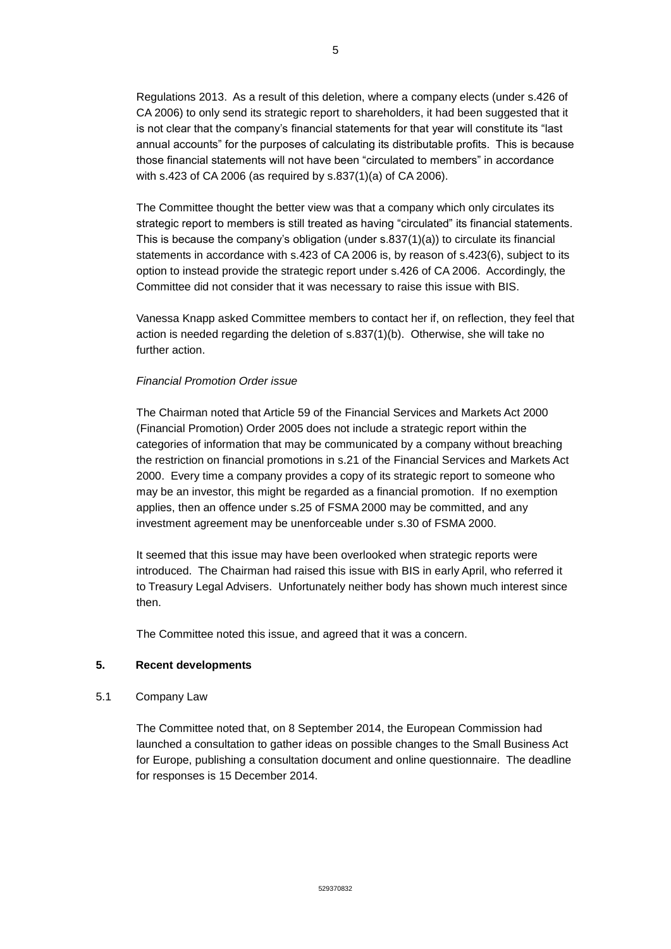Regulations 2013. As a result of this deletion, where a company elects (under s.426 of CA 2006) to only send its strategic report to shareholders, it had been suggested that it is not clear that the company's financial statements for that year will constitute its "last annual accounts" for the purposes of calculating its distributable profits. This is because those financial statements will not have been "circulated to members" in accordance with s.423 of CA 2006 (as required by s.837(1)(a) of CA 2006).

The Committee thought the better view was that a company which only circulates its strategic report to members is still treated as having "circulated" its financial statements. This is because the company's obligation (under s.837(1)(a)) to circulate its financial statements in accordance with s.423 of CA 2006 is, by reason of s.423(6), subject to its option to instead provide the strategic report under s.426 of CA 2006. Accordingly, the Committee did not consider that it was necessary to raise this issue with BIS.

Vanessa Knapp asked Committee members to contact her if, on reflection, they feel that action is needed regarding the deletion of s.837(1)(b). Otherwise, she will take no further action.

### *Financial Promotion Order issue*

The Chairman noted that Article 59 of the Financial Services and Markets Act 2000 (Financial Promotion) Order 2005 does not include a strategic report within the categories of information that may be communicated by a company without breaching the restriction on financial promotions in s.21 of the Financial Services and Markets Act 2000. Every time a company provides a copy of its strategic report to someone who may be an investor, this might be regarded as a financial promotion. If no exemption applies, then an offence under s.25 of FSMA 2000 may be committed, and any investment agreement may be unenforceable under s.30 of FSMA 2000.

It seemed that this issue may have been overlooked when strategic reports were introduced. The Chairman had raised this issue with BIS in early April, who referred it to Treasury Legal Advisers. Unfortunately neither body has shown much interest since then.

The Committee noted this issue, and agreed that it was a concern.

# **5. Recent developments**

5.1 Company Law

The Committee noted that, on 8 September 2014, the European Commission had launched a consultation to gather ideas on possible changes to the Small Business Act for Europe, publishing a consultation document and online questionnaire. The deadline for responses is 15 December 2014.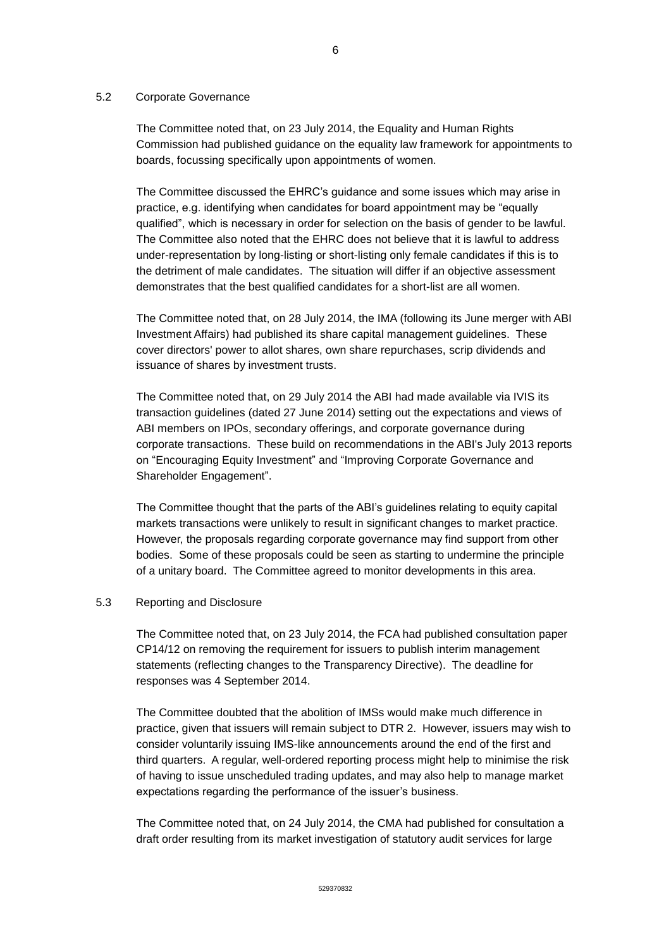#### 5.2 Corporate Governance

The Committee noted that, on 23 July 2014, the Equality and Human Rights Commission had published guidance on the equality law framework for appointments to boards, focussing specifically upon appointments of women.

The Committee discussed the EHRC's guidance and some issues which may arise in practice, e.g. identifying when candidates for board appointment may be "equally qualified", which is necessary in order for selection on the basis of gender to be lawful. The Committee also noted that the EHRC does not believe that it is lawful to address under-representation by long-listing or short-listing only female candidates if this is to the detriment of male candidates. The situation will differ if an objective assessment demonstrates that the best qualified candidates for a short-list are all women.

The Committee noted that, on 28 July 2014, the IMA (following its June merger with ABI Investment Affairs) had published its share capital management guidelines. These cover directors' power to allot shares, own share repurchases, scrip dividends and issuance of shares by investment trusts.

The Committee noted that, on 29 July 2014 the ABI had made available via IVIS its transaction guidelines (dated 27 June 2014) setting out the expectations and views of ABI members on IPOs, secondary offerings, and corporate governance during corporate transactions. These build on recommendations in the ABI's July 2013 reports on "Encouraging Equity Investment" and "Improving Corporate Governance and Shareholder Engagement".

The Committee thought that the parts of the ABI's guidelines relating to equity capital markets transactions were unlikely to result in significant changes to market practice. However, the proposals regarding corporate governance may find support from other bodies. Some of these proposals could be seen as starting to undermine the principle of a unitary board. The Committee agreed to monitor developments in this area.

# 5.3 Reporting and Disclosure

The Committee noted that, on 23 July 2014, the FCA had published consultation paper CP14/12 on removing the requirement for issuers to publish interim management statements (reflecting changes to the Transparency Directive). The deadline for responses was 4 September 2014.

The Committee doubted that the abolition of IMSs would make much difference in practice, given that issuers will remain subject to DTR 2. However, issuers may wish to consider voluntarily issuing IMS-like announcements around the end of the first and third quarters. A regular, well-ordered reporting process might help to minimise the risk of having to issue unscheduled trading updates, and may also help to manage market expectations regarding the performance of the issuer's business.

The Committee noted that, on 24 July 2014, the CMA had published for consultation a draft order resulting from its market investigation of statutory audit services for large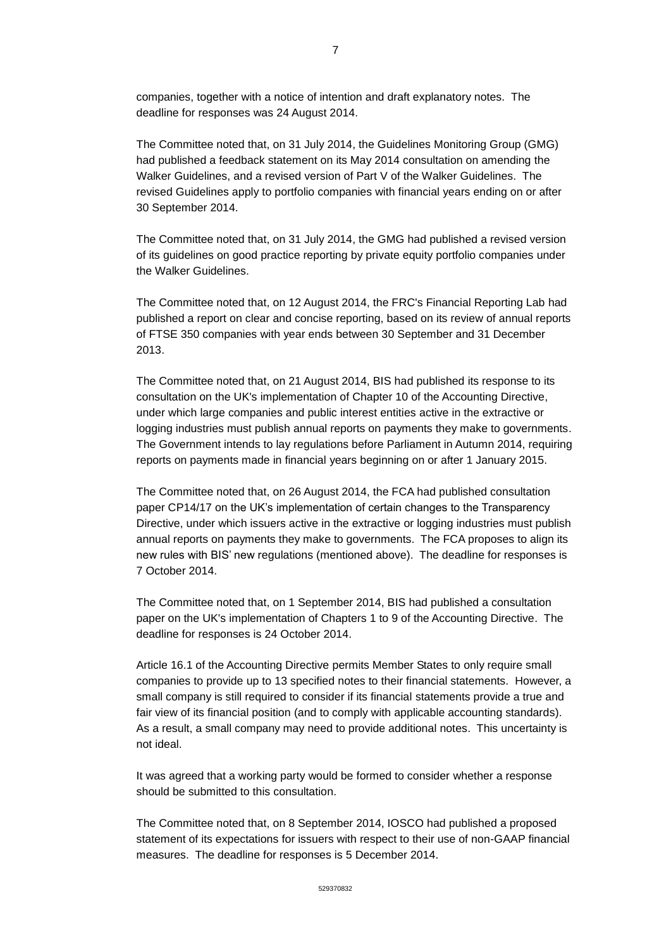companies, together with a notice of intention and draft explanatory notes. The deadline for responses was 24 August 2014.

The Committee noted that, on 31 July 2014, the Guidelines Monitoring Group (GMG) had published a feedback statement on its May 2014 consultation on amending the Walker Guidelines, and a revised version of Part V of the Walker Guidelines. The revised Guidelines apply to portfolio companies with financial years ending on or after 30 September 2014.

The Committee noted that, on 31 July 2014, the GMG had published a revised version of its guidelines on good practice reporting by private equity portfolio companies under the Walker Guidelines.

The Committee noted that, on 12 August 2014, the FRC's Financial Reporting Lab had published a report on clear and concise reporting, based on its review of annual reports of FTSE 350 companies with year ends between 30 September and 31 December 2013.

The Committee noted that, on 21 August 2014, BIS had published its response to its consultation on the UK's implementation of Chapter 10 of the Accounting Directive, under which large companies and public interest entities active in the extractive or logging industries must publish annual reports on payments they make to governments. The Government intends to lay regulations before Parliament in Autumn 2014, requiring reports on payments made in financial years beginning on or after 1 January 2015.

The Committee noted that, on 26 August 2014, the FCA had published consultation paper CP14/17 on the UK's implementation of certain changes to the Transparency Directive, under which issuers active in the extractive or logging industries must publish annual reports on payments they make to governments. The FCA proposes to align its new rules with BIS' new regulations (mentioned above). The deadline for responses is 7 October 2014.

The Committee noted that, on 1 September 2014, BIS had published a consultation paper on the UK's implementation of Chapters 1 to 9 of the Accounting Directive. The deadline for responses is 24 October 2014.

Article 16.1 of the Accounting Directive permits Member States to only require small companies to provide up to 13 specified notes to their financial statements. However, a small company is still required to consider if its financial statements provide a true and fair view of its financial position (and to comply with applicable accounting standards). As a result, a small company may need to provide additional notes. This uncertainty is not ideal.

It was agreed that a working party would be formed to consider whether a response should be submitted to this consultation.

The Committee noted that, on 8 September 2014, IOSCO had published a proposed statement of its expectations for issuers with respect to their use of non-GAAP financial measures. The deadline for responses is 5 December 2014.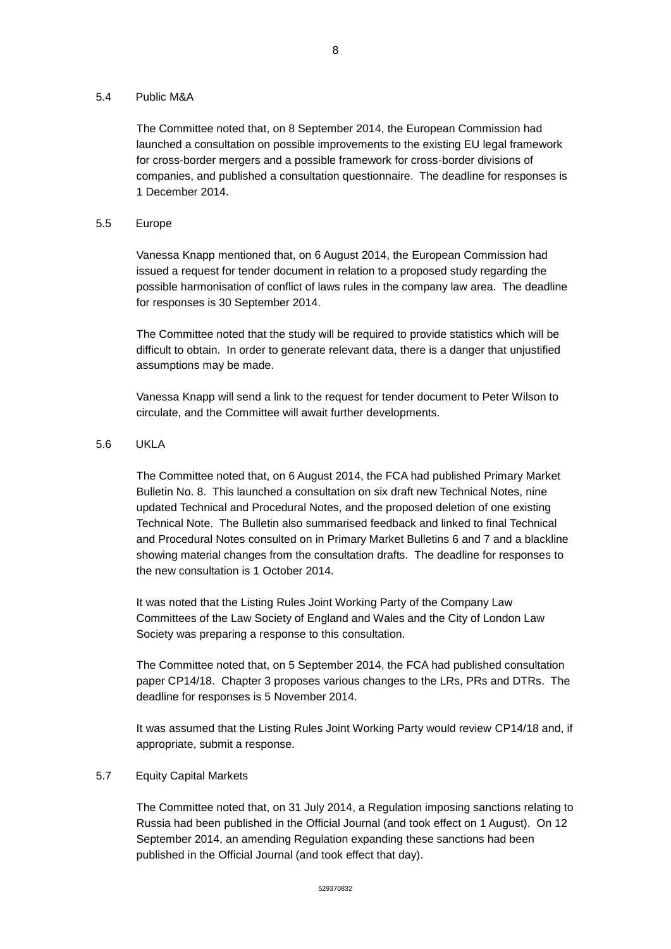#### 5.4 Public M&A

The Committee noted that, on 8 September 2014, the European Commission had launched a consultation on possible improvements to the existing EU legal framework for cross-border mergers and a possible framework for cross-border divisions of companies, and published a consultation questionnaire. The deadline for responses is 1 December 2014.

### 5.5 Europe

Vanessa Knapp mentioned that, on 6 August 2014, the European Commission had issued a request for tender document in relation to a proposed study regarding the possible harmonisation of conflict of laws rules in the company law area. The deadline for responses is 30 September 2014.

The Committee noted that the study will be required to provide statistics which will be difficult to obtain. In order to generate relevant data, there is a danger that unjustified assumptions may be made.

Vanessa Knapp will send a link to the request for tender document to Peter Wilson to circulate, and the Committee will await further developments.

### 5.6 UKLA

The Committee noted that, on 6 August 2014, the FCA had published Primary Market Bulletin No. 8. This launched a consultation on six draft new Technical Notes, nine updated Technical and Procedural Notes, and the proposed deletion of one existing Technical Note. The Bulletin also summarised feedback and linked to final Technical and Procedural Notes consulted on in Primary Market Bulletins 6 and 7 and a blackline showing material changes from the consultation drafts. The deadline for responses to the new consultation is 1 October 2014.

It was noted that the Listing Rules Joint Working Party of the Company Law Committees of the Law Society of England and Wales and the City of London Law Society was preparing a response to this consultation.

The Committee noted that, on 5 September 2014, the FCA had published consultation paper CP14/18. Chapter 3 proposes various changes to the LRs, PRs and DTRs. The deadline for responses is 5 November 2014.

It was assumed that the Listing Rules Joint Working Party would review CP14/18 and, if appropriate, submit a response.

#### 5.7 Equity Capital Markets

The Committee noted that, on 31 July 2014, a Regulation imposing sanctions relating to Russia had been published in the Official Journal (and took effect on 1 August). On 12 September 2014, an amending Regulation expanding these sanctions had been published in the Official Journal (and took effect that day).